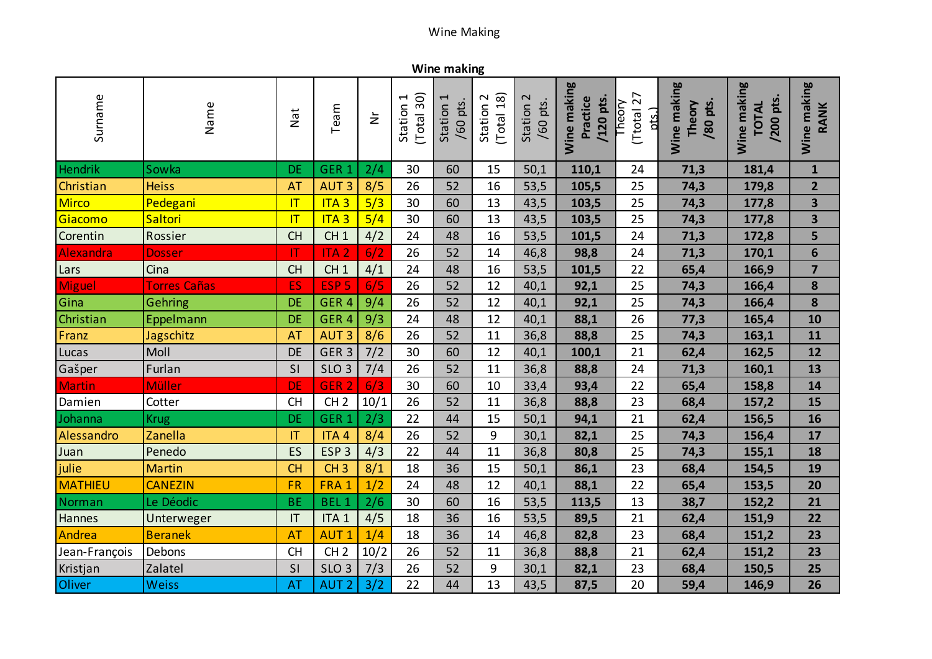## Wine Making

**Wine making**

| Surname        | Name                | Nat                       | Team             | $\breve{\mathsf{z}}$ | (Total 30)<br>1<br>Station | $\mathbf \tau$<br>/60 pts.<br>Station | (Total 18)<br>$\sim$<br>Station | $\sim$<br>/60 pts.<br>Station | Wine making<br>/120 pts.<br>Practice | Ttotal 27<br><b>Theory</b><br><u>nts.</u> | Wine making<br>/80 pts.<br>Theory | Wine making<br>/200 pts.<br><b>TOTAL</b> | Wine making<br>RANK     |
|----------------|---------------------|---------------------------|------------------|----------------------|----------------------------|---------------------------------------|---------------------------------|-------------------------------|--------------------------------------|-------------------------------------------|-----------------------------------|------------------------------------------|-------------------------|
| Hendrik        | Sowka               | <b>DE</b>                 | GER <sub>1</sub> | 2/4                  | 30                         | 60                                    | 15                              | 50,1                          | 110,1                                | 24                                        | 71,3                              | 181,4                                    | $\mathbf{1}$            |
| Christian      | <b>Heiss</b>        | <b>AT</b>                 | <b>AUT3</b>      | 8/5                  | 26                         | 52                                    | 16                              | 53,5                          | 105,5                                | 25                                        | 74,3                              | 179,8                                    | $\overline{2}$          |
| Mirco          | Pedegani            | T                         | ITA <sub>3</sub> | 5/3                  | 30                         | 60                                    | 13                              | 43,5                          | 103,5                                | 25                                        | 74,3                              | 177,8                                    | $\overline{\mathbf{3}}$ |
| Giacomo        | Saltori             | T                         | ITA <sub>3</sub> | 5/4                  | 30                         | 60                                    | 13                              | 43,5                          | 103,5                                | 25                                        | 74,3                              | 177,8                                    | $\overline{\mathbf{3}}$ |
| Corentin       | Rossier             | <b>CH</b>                 | CH1              | 4/2                  | 24                         | 48                                    | 16                              | 53,5                          | 101,5                                | 24                                        | 71,3                              | 172,8                                    | 5                       |
| Alexandra      | <b>Dosser</b>       | $\mathsf{I}^{\mathsf{T}}$ | <b>ITA2</b>      | 6/2                  | 26                         | 52                                    | 14                              | 46,8                          | 98,8                                 | 24                                        | 71,3                              | 170,1                                    | $6\phantom{1}$          |
| Lars           | Cina                | <b>CH</b>                 | CH <sub>1</sub>  | 4/1                  | 24                         | 48                                    | 16                              | 53,5                          | 101,5                                | 22                                        | 65,4                              | 166,9                                    | $\overline{7}$          |
| Miguel         | <b>Torres Cañas</b> | ES                        | ESP <sub>5</sub> | 6/5                  | 26                         | 52                                    | 12                              | 40,1                          | 92,1                                 | 25                                        | 74,3                              | 166,4                                    | 8                       |
| Gina           | Gehring             | DE                        | GER <sub>4</sub> | 9/4                  | 26                         | 52                                    | 12                              | 40,1                          | 92,1                                 | 25                                        | 74,3                              | 166,4                                    | 8                       |
| Christian      | Eppelmann           | DE                        | GER <sub>4</sub> | 9/3                  | 24                         | 48                                    | 12                              | 40,1                          | 88,1                                 | 26                                        | 77,3                              | 165,4                                    | 10                      |
| Franz          | Jagschitz           | <b>AT</b>                 | <b>AUT3</b>      | 8/6                  | 26                         | 52                                    | 11                              | 36,8                          | 88,8                                 | 25                                        | 74,3                              | 163,1                                    | 11                      |
| Lucas          | Moll                | <b>DE</b>                 | GER <sub>3</sub> | 7/2                  | 30                         | 60                                    | 12                              | 40,1                          | 100,1                                | 21                                        | 62,4                              | 162,5                                    | 12                      |
| Gašper         | Furlan              | SI                        | SLO <sub>3</sub> | 7/4                  | 26                         | 52                                    | 11                              | 36,8                          | 88,8                                 | 24                                        | 71,3                              | 160,1                                    | 13                      |
| Martin         | <b>Müller</b>       | DE                        | GER <sub>2</sub> | 6/3                  | 30                         | 60                                    | 10                              | 33,4                          | 93,4                                 | 22                                        | 65,4                              | 158,8                                    | 14                      |
| Damien         | Cotter              | <b>CH</b>                 | CH <sub>2</sub>  | 10/1                 | 26                         | 52                                    | 11                              | 36,8                          | 88,8                                 | 23                                        | 68,4                              | 157,2                                    | 15                      |
| Johanna        | <b>Krug</b>         | <b>DE</b>                 | GER <sub>1</sub> | 2/3                  | 22                         | 44                                    | 15                              | 50,1                          | 94,1                                 | 21                                        | 62,4                              | 156,5                                    | 16                      |
| Alessandro     | Zanella             | <b>IT</b>                 | ITA <sub>4</sub> | 8/4                  | 26                         | 52                                    | 9                               | 30,1                          | 82,1                                 | 25                                        | 74,3                              | 156,4                                    | 17                      |
| Juan           | Penedo              | ES                        | ESP <sub>3</sub> | 4/3                  | 22                         | 44                                    | 11                              | 36,8                          | 80,8                                 | 25                                        | 74,3                              | 155,1                                    | 18                      |
| julie          | <b>Martin</b>       | <b>CH</b>                 | CH <sub>3</sub>  | 8/1                  | 18                         | 36                                    | 15                              | 50,1                          | 86,1                                 | 23                                        | 68,4                              | 154,5                                    | 19                      |
| <b>MATHIEU</b> | <b>CANEZIN</b>      | <b>FR</b>                 | FRA 1            | 1/2                  | 24                         | 48                                    | 12                              | 40,1                          | 88,1                                 | 22                                        | 65,4                              | 153,5                                    | 20                      |
| Norman         | Le Déodic           | <b>BE</b>                 | <b>BEL1</b>      | 2/6                  | 30                         | 60                                    | 16                              | 53,5                          | 113,5                                | 13                                        | 38,7                              | 152,2                                    | 21                      |
| Hannes         | Unterweger          | IT                        | ITA <sub>1</sub> | 4/5                  | 18                         | 36                                    | 16                              | 53,5                          | 89,5                                 | 21                                        | 62,4                              | 151,9                                    | 22                      |
| Andrea         | <b>Beranek</b>      | <b>AT</b>                 | <b>AUT1</b>      | 1/4                  | 18                         | 36                                    | 14                              | 46,8                          | 82,8                                 | 23                                        | 68,4                              | 151,2                                    | 23                      |
| Jean-François  | Debons              | <b>CH</b>                 | CH <sub>2</sub>  | 10/2                 | 26                         | 52                                    | 11                              | 36,8                          | 88,8                                 | 21                                        | 62,4                              | 151,2                                    | 23                      |
| Kristjan       | Zalatel             | SI                        | SLO <sub>3</sub> | 7/3                  | 26                         | 52                                    | 9                               | 30,1                          | 82,1                                 | 23                                        | 68,4                              | 150,5                                    | 25                      |
| Oliver         | <b>Weiss</b>        | <b>AT</b>                 | <b>AUT 2</b>     | 3/2                  | 22                         | 44                                    | 13                              | 43,5                          | 87,5                                 | 20                                        | 59,4                              | 146,9                                    | 26                      |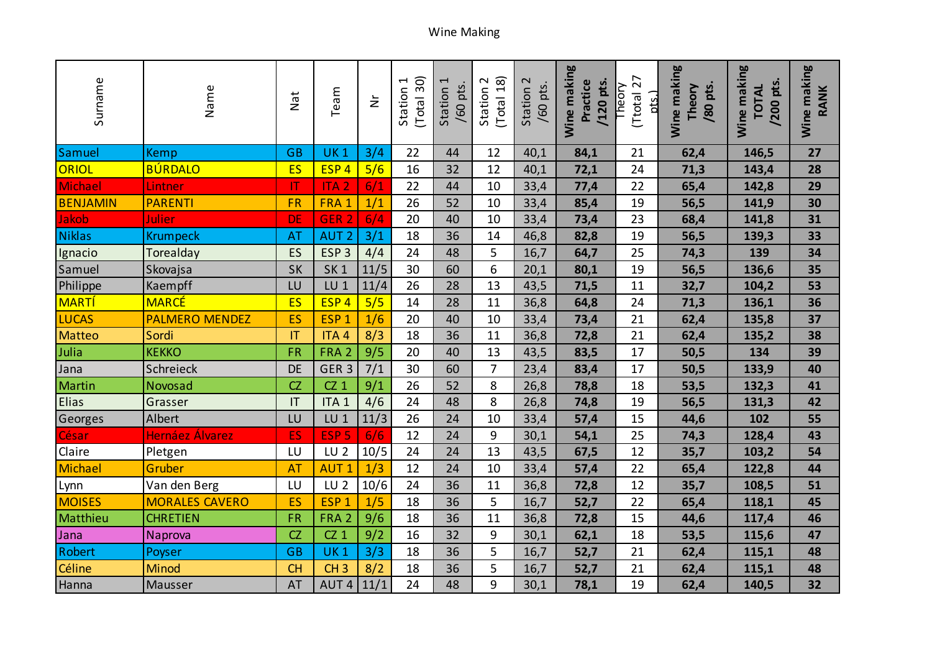| Surname         | Name                  | Nat                    | Team             | $\geq$ | (Total 30)<br>Station 1 | Station 1<br>pts.<br>/60 | (Total 18)<br>$\sim$<br>Station | $\mathbf 2$<br>/60 pts.<br>Station | Wine making<br>Practice<br>/120 pts. | 27<br>Theory<br>(Ttotal<br><u>nts.</u> | Wine making<br>/80 pts.<br>Theory | Wine making<br>/200 pts.<br><b>TOTAL</b> | Wine making<br><b>RANK</b> |
|-----------------|-----------------------|------------------------|------------------|--------|-------------------------|--------------------------|---------------------------------|------------------------------------|--------------------------------------|----------------------------------------|-----------------------------------|------------------------------------------|----------------------------|
| Samuel          | <b>Kemp</b>           | <b>GB</b>              | <b>UK1</b>       | 3/4    | 22                      | 44                       | 12                              | 40,1                               | 84,1                                 | 21                                     | 62,4                              | 146,5                                    | 27                         |
| ORIOL           | <b>BÚRDALO</b>        | <b>ES</b>              | ESP <sub>4</sub> | 5/6    | 16                      | 32                       | 12                              | 40,1                               | 72,1                                 | 24                                     | 71,3                              | 143,4                                    | 28                         |
| Michael         | Lintner               | $\mathsf T$            | <b>ITA2</b>      | 6/1    | 22                      | 44                       | 10                              | 33,4                               | 77,4                                 | 22                                     | 65,4                              | 142,8                                    | 29                         |
| <b>BENJAMIN</b> | <b>PARENTI</b>        | <b>FR</b>              | FRA 1            | 1/1    | 26                      | 52                       | 10                              | 33,4                               | 85,4                                 | 19                                     | 56,5                              | 141,9                                    | 30                         |
| Jakob           | Julier                | <b>DE</b>              | GER <sub>2</sub> | 6/4    | 20                      | 40                       | 10                              | 33,4                               | 73,4                                 | 23                                     | 68,4                              | 141,8                                    | 31                         |
| Niklas          | <b>Krumpeck</b>       | <b>AT</b>              | <b>AUT 2</b>     | 3/1    | 18                      | 36                       | 14                              | 46,8                               | 82,8                                 | 19                                     | 56,5                              | 139,3                                    | 33                         |
| Ignacio         | Torealday             | ES                     | ESP <sub>3</sub> | 4/4    | 24                      | 48                       | 5                               | 16,7                               | 64,7                                 | 25                                     | 74,3                              | 139                                      | 34                         |
| Samuel          | Skovajsa              | <b>SK</b>              | SK <sub>1</sub>  | 11/5   | 30                      | 60                       | 6                               | 20,1                               | 80,1                                 | 19                                     | 56,5                              | 136,6                                    | 35                         |
| Philippe        | Kaempff               | LU                     | LU <sub>1</sub>  | 11/4   | 26                      | 28                       | 13                              | 43,5                               | 71,5                                 | 11                                     | 32,7                              | 104,2                                    | 53                         |
| <b>MARTÍ</b>    | <b>MARCÉ</b>          | <b>ES</b>              | ESP <sub>4</sub> | 5/5    | 14                      | 28                       | 11                              | 36,8                               | 64,8                                 | 24                                     | 71,3                              | 136,1                                    | 36                         |
| <b>LUCAS</b>    | <b>PALMERO MENDEZ</b> | ES                     | ESP <sub>1</sub> | 1/6    | 20                      | 40                       | 10                              | 33,4                               | 73,4                                 | 21                                     | 62,4                              | 135,8                                    | 37                         |
| Matteo          | Sordi                 | $\mathsf{I}\mathsf{T}$ | ITA <sub>4</sub> | 8/3    | 18                      | 36                       | 11                              | 36,8                               | 72,8                                 | 21                                     | 62,4                              | 135,2                                    | 38                         |
| Julia           | <b>KEKKO</b>          | <b>FR</b>              | FRA <sub>2</sub> | 9/5    | 20                      | 40                       | 13                              | 43,5                               | 83,5                                 | 17                                     | 50,5                              | 134                                      | 39                         |
| Jana            | Schreieck             | <b>DE</b>              | GER <sub>3</sub> | 7/1    | 30                      | 60                       | $\overline{7}$                  | 23,4                               | 83,4                                 | 17                                     | 50,5                              | 133,9                                    | 40                         |
| <b>Martin</b>   | Novosad               | CZ                     | $CZ_1$           | 9/1    | 26                      | 52                       | 8                               | 26,8                               | 78,8                                 | 18                                     | 53,5                              | 132,3                                    | 41                         |
| <b>Elias</b>    | Grasser               | IT                     | ITA <sub>1</sub> | 4/6    | 24                      | 48                       | 8                               | 26,8                               | 74,8                                 | 19                                     | 56,5                              | 131,3                                    | 42                         |
| Georges         | Albert                | LU                     | LU <sub>1</sub>  | 11/3   | 26                      | 24                       | 10                              | 33,4                               | 57,4                                 | 15                                     | 44,6                              | 102                                      | 55                         |
| César           | Hernáez Álvarez       | ES                     | ESP <sub>5</sub> | 6/6    | 12                      | 24                       | 9                               | 30,1                               | 54,1                                 | 25                                     | 74,3                              | 128,4                                    | 43                         |
| Claire          | Pletgen               | LU                     | LU <sub>2</sub>  | 10/5   | 24                      | 24                       | 13                              | 43,5                               | 67,5                                 | 12                                     | 35,7                              | 103,2                                    | 54                         |
| Michael         | Gruber                | <b>AT</b>              | <b>AUT1</b>      | 1/3    | 12                      | 24                       | 10                              | 33,4                               | 57,4                                 | 22                                     | 65,4                              | 122,8                                    | 44                         |
| Lynn            | Van den Berg          | LU                     | LU <sub>2</sub>  | 10/6   | 24                      | 36                       | 11                              | 36,8                               | 72,8                                 | 12                                     | 35,7                              | 108,5                                    | 51                         |
| <b>MOISES</b>   | <b>MORALES CAVERO</b> | ES                     | ESP <sub>1</sub> | 1/5    | 18                      | 36                       | 5                               | 16,7                               | 52,7                                 | 22                                     | 65,4                              | 118,1                                    | 45                         |
| Matthieu        | <b>CHRETIEN</b>       | <b>FR</b>              | FRA <sub>2</sub> | 9/6    | 18                      | 36                       | 11                              | 36,8                               | 72,8                                 | 15                                     | 44,6                              | 117,4                                    | 46                         |
| Jana            | Naprova               | CZ                     | $CZ_1$           | 9/2    | 16                      | 32                       | 9                               | 30,1                               | 62,1                                 | 18                                     | 53,5                              | 115,6                                    | 47                         |
| Robert          | Poyser                | <b>GB</b>              | <b>UK1</b>       | 3/3    | 18                      | 36                       | 5                               | 16,7                               | 52,7                                 | 21                                     | 62,4                              | 115,1                                    | 48                         |
| Céline          | <b>Minod</b>          | <b>CH</b>              | CH <sub>3</sub>  | 8/2    | 18                      | 36                       | 5                               | 16,7                               | 52,7                                 | 21                                     | 62,4                              | 115,1                                    | 48                         |
| Hanna           | Mausser               | AT                     | AUT <sub>4</sub> | 11/1   | 24                      | 48                       | 9                               | 30,1                               | 78,1                                 | 19                                     | 62,4                              | 140,5                                    | 32                         |

## Wine Making